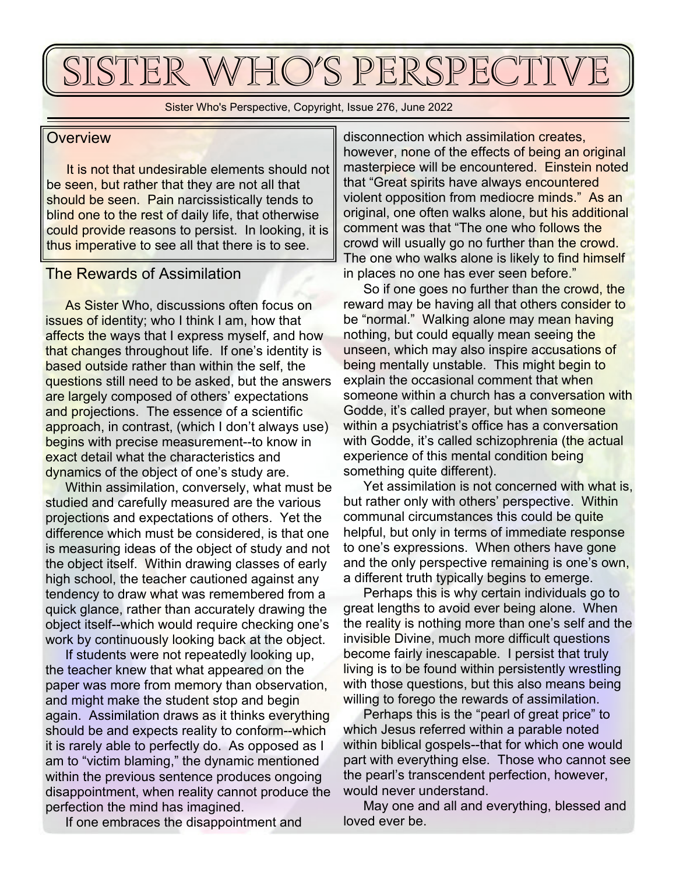# SISTER WHO'S PERSPECTIV

Sister Who's Perspective, Copyright, Issue 276, June 2022

## **Overview**

 It is not that undesirable elements should not be seen, but rather that they are not all that should be seen. Pain narcissistically tends to blind one to the rest of daily life, that otherwise could provide reasons to persist. In looking, it is thus imperative to see all that there is to see.

# The Rewards of Assimilation

 As Sister Who, discussions often focus on issues of identity; who I think I am, how that affects the ways that I express myself, and how that changes throughout life. If one's identity is based outside rather than within the self, the questions still need to be asked, but the answers are largely composed of others' expectations and projections. The essence of a scientific approach, in contrast, (which I don't always use) begins with precise measurement--to know in exact detail what the characteristics and dynamics of the object of one's study are.

 Within assimilation, conversely, what must be studied and carefully measured are the various projections and expectations of others. Yet the difference which must be considered, is that one is measuring ideas of the object of study and not the object itself. Within drawing classes of early high school, the teacher cautioned against any tendency to draw what was remembered from a quick glance, rather than accurately drawing the object itself--which would require checking one's work by continuously looking back at the object.

 If students were not repeatedly looking up, the teacher knew that what appeared on the paper was more from memory than observation, and might make the student stop and begin again. Assimilation draws as it thinks everything should be and expects reality to conform--which it is rarely able to perfectly do. As opposed as I am to "victim blaming," the dynamic mentioned within the previous sentence produces ongoing disappointment, when reality cannot produce the perfection the mind has imagined.

If one embraces the disappointment and

disconnection which assimilation creates, however, none of the effects of being an original masterpiece will be encountered. Einstein noted that "Great spirits have always encountered violent opposition from mediocre minds." As an original, one often walks alone, but his additional comment was that "The one who follows the crowd will usually go no further than the crowd. The one who walks alone is likely to find himself in places no one has ever seen before."

 So if one goes no further than the crowd, the reward may be having all that others consider to be "normal." Walking alone may mean having nothing, but could equally mean seeing the unseen, which may also inspire accusations of being mentally unstable. This might begin to explain the occasional comment that when someone within a church has a conversation with Godde, it's called prayer, but when someone within a psychiatrist's office has a conversation with Godde, it's called schizophrenia (the actual experience of this mental condition being something quite different).

 Yet assimilation is not concerned with what is, but rather only with others' perspective. Within communal circumstances this could be quite helpful, but only in terms of immediate response to one's expressions. When others have gone and the only perspective remaining is one's own, a different truth typically begins to emerge.

 Perhaps this is why certain individuals go to great lengths to avoid ever being alone. When the reality is nothing more than one's self and the invisible Divine, much more difficult questions become fairly inescapable. I persist that truly living is to be found within persistently wrestling with those questions, but this also means being willing to forego the rewards of assimilation.

 Perhaps this is the "pearl of great price" to which Jesus referred within a parable noted within biblical gospels--that for which one would part with everything else. Those who cannot see the pearl's transcendent perfection, however, would never understand.

 May one and all and everything, blessed and loved ever be.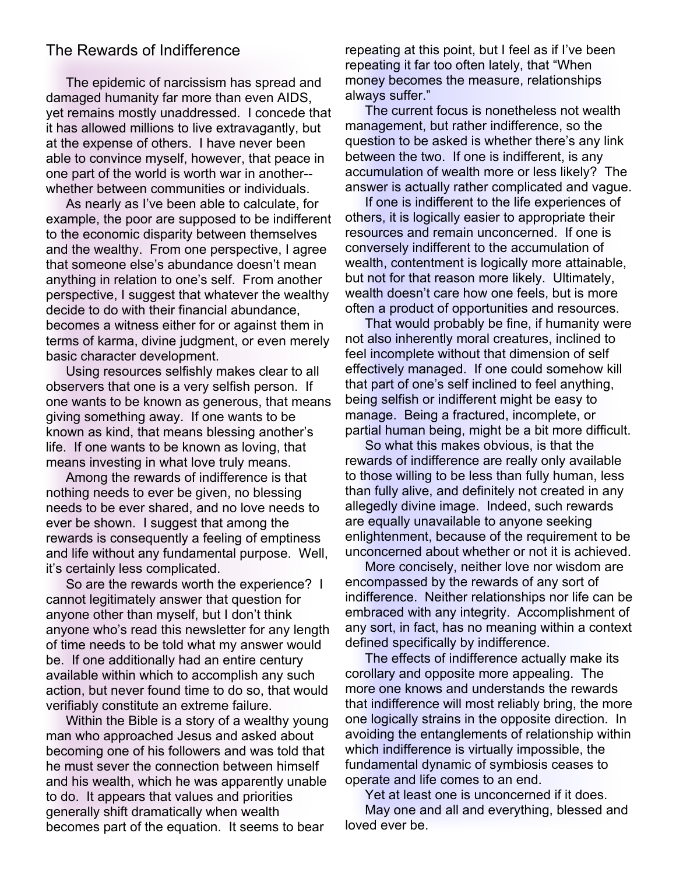## The Rewards of Indifference

 The epidemic of narcissism has spread and damaged humanity far more than even AIDS, yet remains mostly unaddressed. I concede that it has allowed millions to live extravagantly, but at the expense of others. I have never been able to convince myself, however, that peace in one part of the world is worth war in another- whether between communities or individuals.

 As nearly as I've been able to calculate, for example, the poor are supposed to be indifferent to the economic disparity between themselves and the wealthy. From one perspective, I agree that someone else's abundance doesn't mean anything in relation to one's self. From another perspective, I suggest that whatever the wealthy decide to do with their financial abundance, becomes a witness either for or against them in terms of karma, divine judgment, or even merely basic character development.

 Using resources selfishly makes clear to all observers that one is a very selfish person. If one wants to be known as generous, that means giving something away. If one wants to be known as kind, that means blessing another's life. If one wants to be known as loving, that means investing in what love truly means.

 Among the rewards of indifference is that nothing needs to ever be given, no blessing needs to be ever shared, and no love needs to ever be shown. I suggest that among the rewards is consequently a feeling of emptiness and life without any fundamental purpose. Well, it's certainly less complicated.

 So are the rewards worth the experience? I cannot legitimately answer that question for anyone other than myself, but I don't think anyone who's read this newsletter for any length of time needs to be told what my answer would be. If one additionally had an entire century available within which to accomplish any such action, but never found time to do so, that would verifiably constitute an extreme failure.

 Within the Bible is a story of a wealthy young man who approached Jesus and asked about becoming one of his followers and was told that he must sever the connection between himself and his wealth, which he was apparently unable to do. It appears that values and priorities generally shift dramatically when wealth becomes part of the equation. It seems to bear

repeating at this point, but I feel as if I've been repeating it far too often lately, that "When money becomes the measure, relationships always suffer."

 The current focus is nonetheless not wealth management, but rather indifference, so the question to be asked is whether there's any link between the two. If one is indifferent, is any accumulation of wealth more or less likely? The answer is actually rather complicated and vague.

 If one is indifferent to the life experiences of others, it is logically easier to appropriate their resources and remain unconcerned. If one is conversely indifferent to the accumulation of wealth, contentment is logically more attainable, but not for that reason more likely. Ultimately, wealth doesn't care how one feels, but is more often a product of opportunities and resources.

 That would probably be fine, if humanity were not also inherently moral creatures, inclined to feel incomplete without that dimension of self effectively managed. If one could somehow kill that part of one's self inclined to feel anything, being selfish or indifferent might be easy to manage. Being a fractured, incomplete, or partial human being, might be a bit more difficult.

 So what this makes obvious, is that the rewards of indifference are really only available to those willing to be less than fully human, less than fully alive, and definitely not created in any allegedly divine image. Indeed, such rewards are equally unavailable to anyone seeking enlightenment, because of the requirement to be unconcerned about whether or not it is achieved.

 More concisely, neither love nor wisdom are encompassed by the rewards of any sort of indifference. Neither relationships nor life can be embraced with any integrity. Accomplishment of any sort, in fact, has no meaning within a context defined specifically by indifference.

 The effects of indifference actually make its corollary and opposite more appealing. The more one knows and understands the rewards that indifference will most reliably bring, the more one logically strains in the opposite direction. In avoiding the entanglements of relationship within which indifference is virtually impossible, the fundamental dynamic of symbiosis ceases to operate and life comes to an end.

 Yet at least one is unconcerned if it does. May one and all and everything, blessed and loved ever be.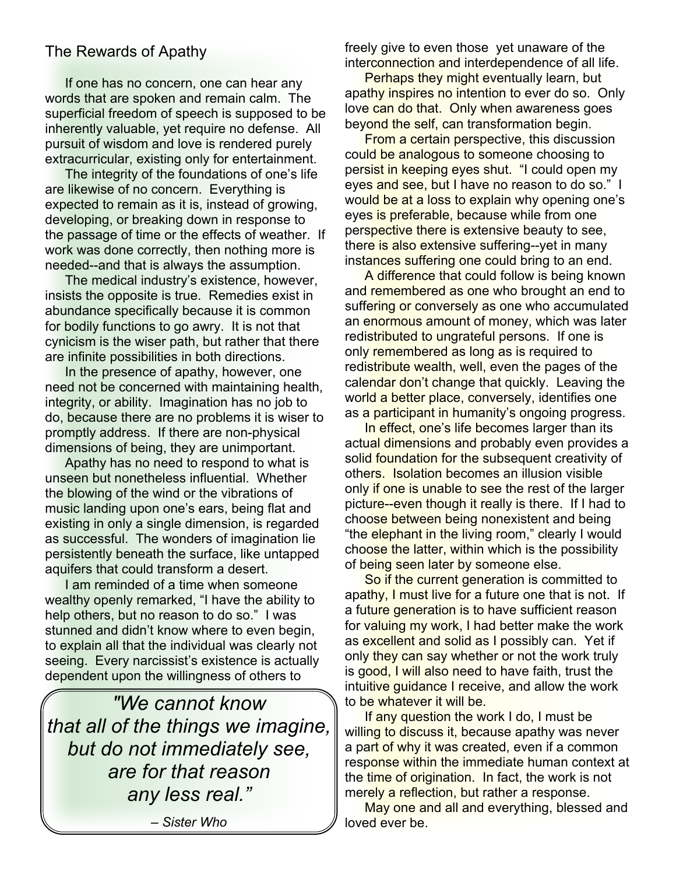# The Rewards of Apathy

 If one has no concern, one can hear any words that are spoken and remain calm. The superficial freedom of speech is supposed to be inherently valuable, yet require no defense. All pursuit of wisdom and love is rendered purely extracurricular, existing only for entertainment.

 The integrity of the foundations of one's life are likewise of no concern. Everything is expected to remain as it is, instead of growing, developing, or breaking down in response to the passage of time or the effects of weather. If work was done correctly, then nothing more is needed--and that is always the assumption.

 The medical industry's existence, however, insists the opposite is true. Remedies exist in abundance specifically because it is common for bodily functions to go awry. It is not that cynicism is the wiser path, but rather that there are infinite possibilities in both directions.

 In the presence of apathy, however, one need not be concerned with maintaining health, integrity, or ability. Imagination has no job to do, because there are no problems it is wiser to promptly address. If there are non-physical dimensions of being, they are unimportant.

 Apathy has no need to respond to what is unseen but nonetheless influential. Whether the blowing of the wind or the vibrations of music landing upon one's ears, being flat and existing in only a single dimension, is regarded as successful. The wonders of imagination lie persistently beneath the surface, like untapped aquifers that could transform a desert.

 I am reminded of a time when someone wealthy openly remarked, "I have the ability to help others, but no reason to do so." I was stunned and didn't know where to even begin, to explain all that the individual was clearly not seeing. Every narcissist's existence is actually dependent upon the willingness of others to

*"We cannot know that all of the things we imagine, but do not immediately see, are for that reason any less real."*

*– Sister Who*

freely give to even those yet unaware of the interconnection and interdependence of all life.

 Perhaps they might eventually learn, but apathy inspires no intention to ever do so. Only love can do that. Only when awareness goes beyond the self, can transformation begin.

 From a certain perspective, this discussion could be analogous to someone choosing to persist in keeping eyes shut. "I could open my eyes and see, but I have no reason to do so." I would be at a loss to explain why opening one's eyes is preferable, because while from one perspective there is extensive beauty to see, there is also extensive suffering--yet in many instances suffering one could bring to an end.

 A difference that could follow is being known and remembered as one who brought an end to suffering or conversely as one who accumulated an enormous amount of money, which was later redistributed to ungrateful persons. If one is only remembered as long as is required to redistribute wealth, well, even the pages of the calendar don't change that quickly. Leaving the world a better place, conversely, identifies one as a participant in humanity's ongoing progress.

In effect, one's life becomes larger than its actual dimensions and probably even provides a solid foundation for the subsequent creativity of others. Isolation becomes an illusion visible only if one is unable to see the rest of the larger picture--even though it really is there. If I had to choose between being nonexistent and being "the elephant in the living room," clearly I would choose the latter, within which is the possibility of being seen later by someone else.

So if the current generation is committed to apathy, I must live for a future one that is not. If a future generation is to have sufficient reason for valuing my work, I had better make the work as excellent and solid as I possibly can. Yet if only they can say whether or not the work truly is good, I will also need to have faith, trust the intuitive guidance I receive, and allow the work to be whatever it will be.

If any question the work I do, I must be willing to discuss it, because apathy was never a part of why it was created, even if a common response within the immediate human context at the time of origination. In fact, the work is not merely a reflection, but rather a response.

May one and all and everything, blessed and loved ever be.